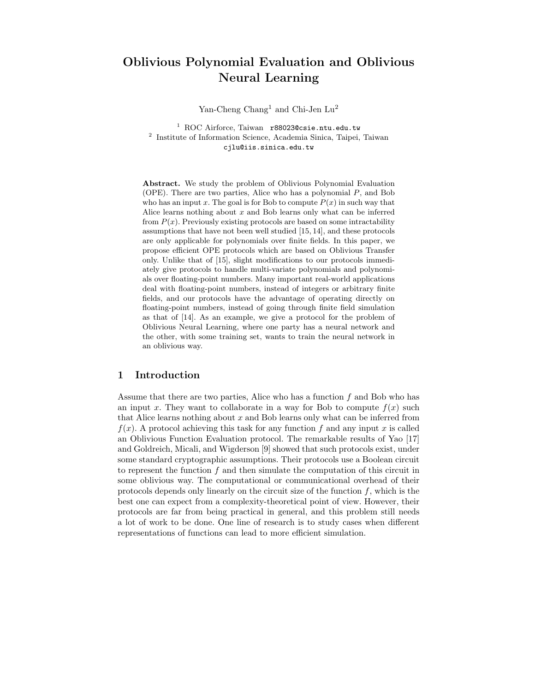# Oblivious Polynomial Evaluation and Oblivious Neural Learning

Yan-Cheng Chang<sup>1</sup> and Chi-Jen Lu<sup>2</sup>

<sup>1</sup> ROC Airforce, Taiwan r88023@csie.ntu.edu.tw 2 Institute of Information Science, Academia Sinica, Taipei, Taiwan cjlu@iis.sinica.edu.tw

Abstract. We study the problem of Oblivious Polynomial Evaluation (OPE). There are two parties, Alice who has a polynomial P, and Bob who has an input x. The goal is for Bob to compute  $P(x)$  in such way that Alice learns nothing about  $x$  and Bob learns only what can be inferred from  $P(x)$ . Previously existing protocols are based on some intractability assumptions that have not been well studied [15, 14], and these protocols are only applicable for polynomials over finite fields. In this paper, we propose efficient OPE protocols which are based on Oblivious Transfer only. Unlike that of [15], slight modifications to our protocols immediately give protocols to handle multi-variate polynomials and polynomials over floating-point numbers. Many important real-world applications deal with floating-point numbers, instead of integers or arbitrary finite fields, and our protocols have the advantage of operating directly on floating-point numbers, instead of going through finite field simulation as that of [14]. As an example, we give a protocol for the problem of Oblivious Neural Learning, where one party has a neural network and the other, with some training set, wants to train the neural network in an oblivious way.

# 1 Introduction

Assume that there are two parties, Alice who has a function  $f$  and Bob who has an input x. They want to collaborate in a way for Bob to compute  $f(x)$  such that Alice learns nothing about  $x$  and Bob learns only what can be inferred from  $f(x)$ . A protocol achieving this task for any function f and any input x is called an Oblivious Function Evaluation protocol. The remarkable results of Yao [17] and Goldreich, Micali, and Wigderson [9] showed that such protocols exist, under some standard cryptographic assumptions. Their protocols use a Boolean circuit to represent the function  $f$  and then simulate the computation of this circuit in some oblivious way. The computational or communicational overhead of their protocols depends only linearly on the circuit size of the function  $f$ , which is the best one can expect from a complexity-theoretical point of view. However, their protocols are far from being practical in general, and this problem still needs a lot of work to be done. One line of research is to study cases when different representations of functions can lead to more efficient simulation.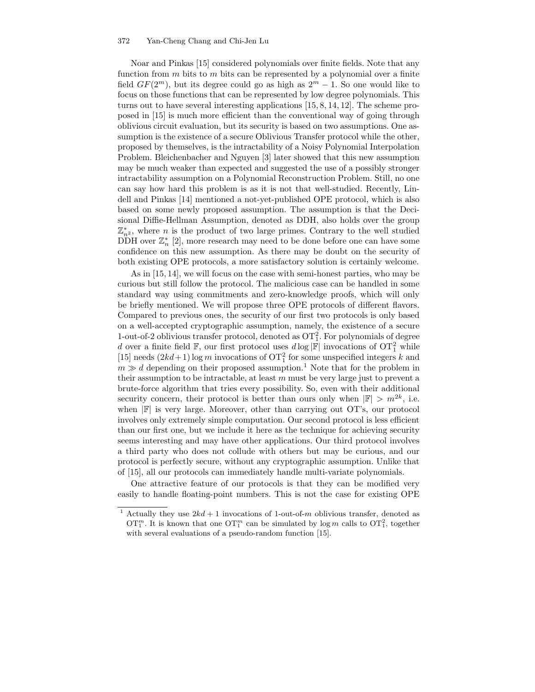#### 372 Yan-Cheng Chang and Chi-Jen Lu

Noar and Pinkas [15] considered polynomials over finite fields. Note that any function from m bits to m bits can be represented by a polynomial over a finite field  $GF(2<sup>m</sup>)$ , but its degree could go as high as  $2<sup>m</sup> - 1$ . So one would like to focus on those functions that can be represented by low degree polynomials. This turns out to have several interesting applications [15, 8, 14, 12]. The scheme proposed in [15] is much more efficient than the conventional way of going through oblivious circuit evaluation, but its security is based on two assumptions. One assumption is the existence of a secure Oblivious Transfer protocol while the other, proposed by themselves, is the intractability of a Noisy Polynomial Interpolation Problem. Bleichenbacher and Nguyen [3] later showed that this new assumption may be much weaker than expected and suggested the use of a possibly stronger intractability assumption on a Polynomial Reconstruction Problem. Still, no one can say how hard this problem is as it is not that well-studied. Recently, Lindell and Pinkas [14] mentioned a not-yet-published OPE protocol, which is also based on some newly proposed assumption. The assumption is that the Decisional Diffie-Hellman Assumption, denoted as DDH, also holds over the group  $\mathbb{Z}_{n^2}^*$ , where n is the product of two large primes. Contrary to the well studied DDH over  $\mathbb{Z}_n^*$  [2], more research may need to be done before one can have some confidence on this new assumption. As there may be doubt on the security of both existing OPE protocols, a more satisfactory solution is certainly welcome.

As in [15, 14], we will focus on the case with semi-honest parties, who may be curious but still follow the protocol. The malicious case can be handled in some standard way using commitments and zero-knowledge proofs, which will only be briefly mentioned. We will propose three OPE protocols of different flavors. Compared to previous ones, the security of our first two protocols is only based on a well-accepted cryptographic assumption, namely, the existence of a secure 1-out-of-2 oblivious transfer protocol, denoted as  $\text{OT}_1^2$ . For polynomials of degree d over a finite field  $\mathbb{F}$ , our first protocol uses d log  $|\mathbb{F}|$  invocations of  $\text{OT}_1^2$  while [15] needs  $(2kd+1) \log m$  invocations of  $\text{OT}_1^2$  for some unspecified integers k and  $m \gg d$  depending on their proposed assumption.<sup>1</sup> Note that for the problem in their assumption to be intractable, at least  $m$  must be very large just to prevent a brute-force algorithm that tries every possibility. So, even with their additional security concern, their protocol is better than ours only when  $|\mathbb{F}| > m^{2k}$ , i.e. when  $|\mathbb{F}|$  is very large. Moreover, other than carrying out OT's, our protocol involves only extremely simple computation. Our second protocol is less efficient than our first one, but we include it here as the technique for achieving security seems interesting and may have other applications. Our third protocol involves a third party who does not collude with others but may be curious, and our protocol is perfectly secure, without any cryptographic assumption. Unlike that of [15], all our protocols can immediately handle multi-variate polynomials.

One attractive feature of our protocols is that they can be modified very easily to handle floating-point numbers. This is not the case for existing OPE

<sup>&</sup>lt;sup>1</sup> Actually they use  $2kd + 1$  invocations of 1-out-of-m oblivious transfer, denoted as OT<sup>m</sup>. It is known that one OT<sup>m</sup> can be simulated by log m calls to OT<sup>2</sup>, together with several evaluations of a pseudo-random function [15].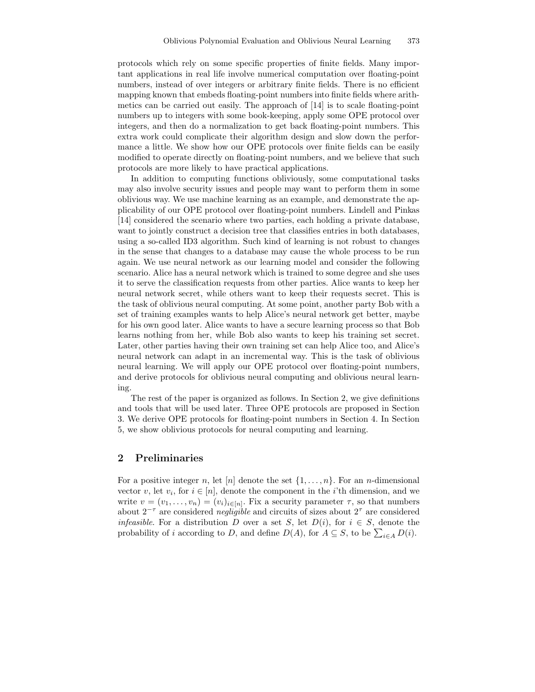protocols which rely on some specific properties of finite fields. Many important applications in real life involve numerical computation over floating-point numbers, instead of over integers or arbitrary finite fields. There is no efficient mapping known that embeds floating-point numbers into finite fields where arithmetics can be carried out easily. The approach of [14] is to scale floating-point numbers up to integers with some book-keeping, apply some OPE protocol over integers, and then do a normalization to get back floating-point numbers. This extra work could complicate their algorithm design and slow down the performance a little. We show how our OPE protocols over finite fields can be easily modified to operate directly on floating-point numbers, and we believe that such protocols are more likely to have practical applications.

In addition to computing functions obliviously, some computational tasks may also involve security issues and people may want to perform them in some oblivious way. We use machine learning as an example, and demonstrate the applicability of our OPE protocol over floating-point numbers. Lindell and Pinkas [14] considered the scenario where two parties, each holding a private database, want to jointly construct a decision tree that classifies entries in both databases, using a so-called ID3 algorithm. Such kind of learning is not robust to changes in the sense that changes to a database may cause the whole process to be run again. We use neural network as our learning model and consider the following scenario. Alice has a neural network which is trained to some degree and she uses it to serve the classification requests from other parties. Alice wants to keep her neural network secret, while others want to keep their requests secret. This is the task of oblivious neural computing. At some point, another party Bob with a set of training examples wants to help Alice's neural network get better, maybe for his own good later. Alice wants to have a secure learning process so that Bob learns nothing from her, while Bob also wants to keep his training set secret. Later, other parties having their own training set can help Alice too, and Alice's neural network can adapt in an incremental way. This is the task of oblivious neural learning. We will apply our OPE protocol over floating-point numbers, and derive protocols for oblivious neural computing and oblivious neural learning.

The rest of the paper is organized as follows. In Section 2, we give definitions and tools that will be used later. Three OPE protocols are proposed in Section 3. We derive OPE protocols for floating-point numbers in Section 4. In Section 5, we show oblivious protocols for neural computing and learning.

# 2 Preliminaries

For a positive integer n, let [n] denote the set  $\{1, \ldots, n\}$ . For an n-dimensional vector v, let  $v_i$ , for  $i \in [n]$ , denote the component in the *i*'th dimension, and we write  $v = (v_1, \ldots, v_n) = (v_i)_{i \in [n]}$ . Fix a security parameter  $\tau$ , so that numbers about  $2^{-\tau}$  are considered *negligible* and circuits of sizes about  $2^{\tau}$  are considered *infeasible.* For a distribution D over a set S, let  $D(i)$ , for  $i \in S$ , denote the probability of *i* according to D, and define  $D(A)$ , for  $A \subseteq S$ , to be  $\sum_{i \in A} D(i)$ .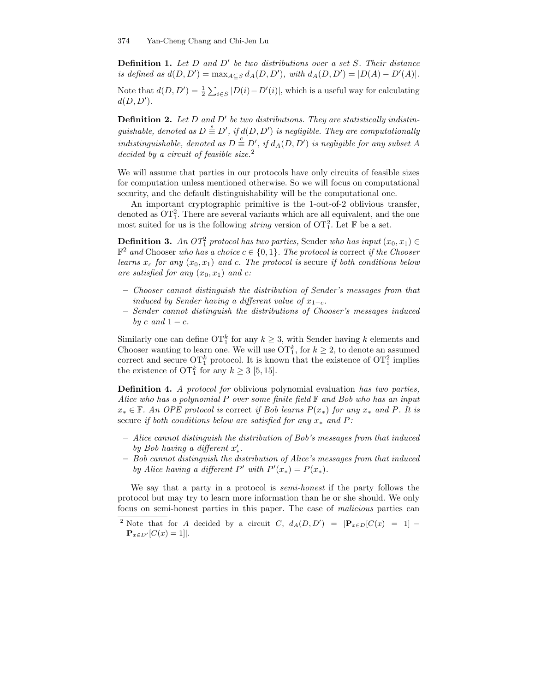**Definition 1.** Let  $D$  and  $D'$  be two distributions over a set  $S$ . Their distance is defined as  $d(D, D') = \max_{A \subseteq S} d_A(D, D')$ , with  $d_A(D, D') = |D(A) - D'(A)|$ .

Note that  $d(D, D') = \frac{1}{2} \sum_{i \in S} |D(i) - D'(i)|$ , which is a useful way for calculating  $d(D, D').$ 

**Definition 2.** Let  $D$  and  $D'$  be two distributions. They are statistically indistinguishable, denoted as  $D \stackrel{s}{\equiv} D'$ , if  $d(D, D')$  is negligible. They are computationally indistinguishable, denoted as  $D \stackrel{c}{\equiv} D'$ , if  $d_A(D, D')$  is negligible for any subset A decided by a circuit of feasible size.<sup>2</sup>

We will assume that parties in our protocols have only circuits of feasible sizes for computation unless mentioned otherwise. So we will focus on computational security, and the default distinguishability will be the computational one.

An important cryptographic primitive is the 1-out-of-2 oblivious transfer, denoted as  $\text{OT}_1^2$ . There are several variants which are all equivalent, and the one most suited for us is the following *string* version of  $\mathrm{OT}_1^2$ . Let  $\mathbb F$  be a set.

**Definition 3.** An  $OT_1^2$  protocol has two parties, Sender who has input  $(x_0, x_1) \in$  $\mathbb{F}^2$  and Chooser who has a choice  $c \in \{0,1\}$ . The protocol is correct if the Chooser learns  $x_c$  for any  $(x_0, x_1)$  and c. The protocol is secure if both conditions below are satisfied for any  $(x_0, x_1)$  and c:

- Chooser cannot distinguish the distribution of Sender's messages from that induced by Sender having a different value of  $x_{1-c}$ .
- Sender cannot distinguish the distributions of Chooser's messages induced by c and  $1 - c$ .

Similarly one can define  $\mathrm{OT}_1^k$  for any  $k \geq 3$ , with Sender having k elements and Chooser wanting to learn one. We will use  $\mathrm{OT}_1^k$ , for  $k \geq 2$ , to denote an assumed correct and secure  $\mathrm{OT}_1^k$  protocol. It is known that the existence of  $\mathrm{OT}_1^2$  implies the existence of  $\mathrm{OT}_1^k$  for any  $k \geq 3$  [5, 15].

Definition 4. A protocol for oblivious polynomial evaluation has two parties, Alice who has a polynomial  $P$  over some finite field  $\mathbb F$  and Bob who has an input  $x_* \in \mathbb{F}$ . An OPE protocol is correct if Bob learns  $P(x_*)$  for any  $x_*$  and P. It is secure if both conditions below are satisfied for any  $x_*$  and P:

- Alice cannot distinguish the distribution of Bob's messages from that induced by Bob having a different  $x'_*$ .
- Bob cannot distinguish the distribution of Alice's messages from that induced by Alice having a different P' with  $P'(x_*) = P(x_*)$ .

We say that a party in a protocol is semi-honest if the party follows the protocol but may try to learn more information than he or she should. We only focus on semi-honest parties in this paper. The case of malicious parties can

<sup>&</sup>lt;sup>2</sup> Note that for A decided by a circuit C,  $d_A(D, D') = |\mathbf{P}_{x \in D}[C(x) = 1]$  –  ${\bf P}_{x\in D'}[C(x) = 1]$ .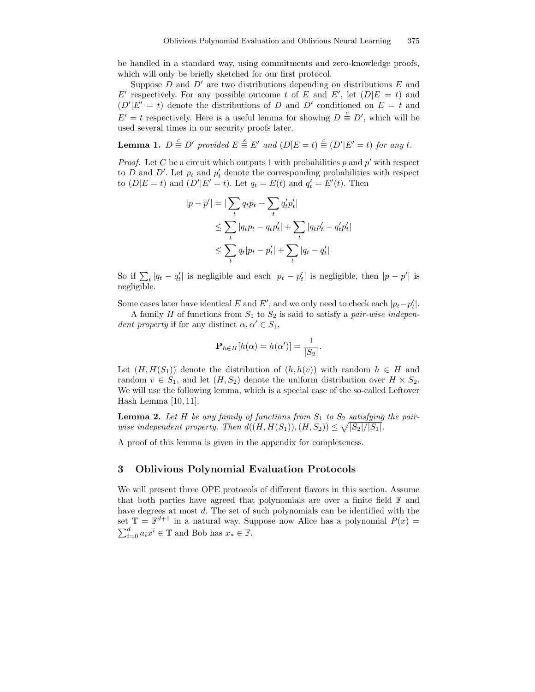be handled in a standard way, using commitments and zero-knowledge proofs, which will only be briefly sketched for our first protocol.

Suppose  $D$  and  $D'$  are two distributions depending on distributions  $E$  and E' respectively. For any possible outcome t of E and E', let  $(D|E = t)$  and  $(D'|E'=t)$  denote the distributions of D and D' conditioned on  $E=t$  and  $E' = t$  respectively. Here is a useful lemma for showing  $D \equiv D'$ , which will be used several times in our security proofs later.

**Lemma 1.**  $D \equiv D'$  provided  $E \equiv E'$  and  $(D|E = t) \equiv (D'|E' = t)$  for any t.

*Proof.* Let C be a circuit which outputs 1 with probabilities p and  $p'$  with respect to D and D'. Let  $p_t$  and  $p'_t$  denote the corresponding probabilities with respect to  $(D|E = t)$  and  $(D'|E' = t)$ . Let  $q_t = E(t)$  and  $q'_t = E'(t)$ . Then

$$
|p - p'| = |\sum_{t} q_t p_t - \sum_{t} q'_t p'_t|
$$
  
\n
$$
\leq \sum_{t} |q_t p_t - q_t p'_t| + \sum_{t} |q_t p'_t - q'_t p'_t|
$$
  
\n
$$
\leq \sum_{t} q_t |p_t - p'_t| + \sum_{t} |q_t - q'_t|
$$

So if  $\sum_t |q_t - q'_t|$  is negligible and each  $|p_t - p'_t|$  is negligible, then  $|p - p'|$  is negligible.

Some cases later have identical E and E', and we only need to check each  $|p_t-p'_t|$ .

A family H of functions from  $S_1$  to  $S_2$  is said to satisfy a *pair-wise indepen*dent property if for any distinct  $\alpha, \alpha' \in S_1$ ,

$$
\mathbf{P}_{h\in H}[h(\alpha) = h(\alpha')] = \frac{1}{|S_2|}.
$$

Let  $(H, H(S_1))$  denote the distribution of  $(h, h(v))$  with random  $h \in H$  and random  $v \in S_1$ , and let  $(H, S_2)$  denote the uniform distribution over  $H \times S_2$ . We will use the following lemma, which is a special case of the so-called Leftover Hash Lemma [10, 11].

**Lemma 2.** Let H be any family of functions from  $S_1$  to  $S_2$  satisfying the pairwise independent property. Then  $d((H, H(S_1)), (H, S_2)) \leq \sqrt{|S_2|/|S_1|}$ .

A proof of this lemma is given in the appendix for completeness.

## 3 Oblivious Polynomial Evaluation Protocols

We will present three OPE protocols of different flavors in this section. Assume that both parties have agreed that polynomials are over a finite field  $\mathbb F$  and have degrees at most d. The set of such polynomials can be identified with the set  $\mathbb{T} = \mathbb{F}^{d+1}$  in a natural way. Suppose now Alice has a polynomial  $P(x) =$  $\sum_{i=0}^{d} a_i x^i \in \mathbb{T}$  and Bob has  $x_* \in \mathbb{F}$ .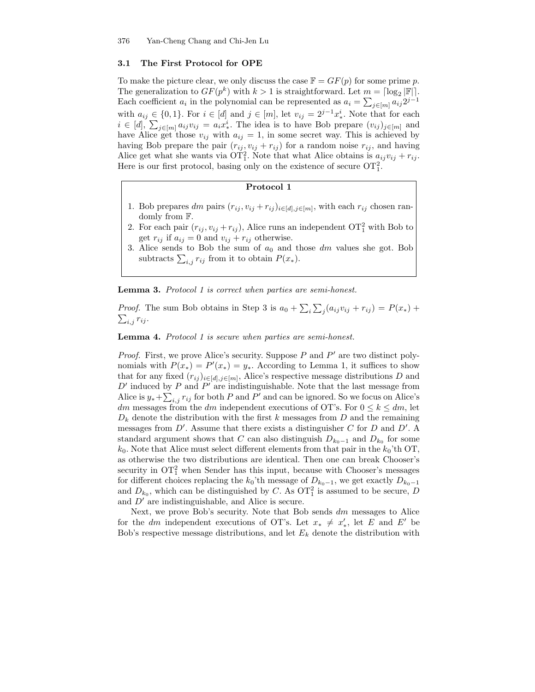#### 3.1 The First Protocol for OPE

To make the picture clear, we only discuss the case  $\mathbb{F} = GF(p)$  for some prime p. The generalization to  $GF(p^k)$  with  $k > 1$  is straightforward. Let  $m = \lceil \log_2 |\mathbb{F}| \rceil$ . Each coefficient  $a_i$  in the polynomial can be represented as  $a_i = \sum_{j \in [m]} a_{ij} 2^{j-1}$ with  $a_{ij} \in \{0,1\}$ . For  $i \in [d]$  and  $j \in [m]$ , let  $v_{ij} = 2^{j-1}x_*^i$ . Note that for each  $i \in [d], \sum_{j \in [m]} a_{ij} v_{ij} = a_i x_*^i$ . The idea is to have Bob prepare  $(v_{ij})_{j \in [m]}$  and have Alice get those  $v_{ij}$  with  $a_{ij} = 1$ , in some secret way. This is achieved by having Bob prepare the pair  $(r_{ij}, v_{ij} + r_{ij})$  for a random noise  $r_{ij}$ , and having Alice get what she wants via  $\text{OT}_1^2$ . Note that what Alice obtains is  $a_{ij}v_{ij} + r_{ij}$ . Here is our first protocol, basing only on the existence of secure  $\text{OT}_1^2$ .

# Protocol 1

- 1. Bob prepares dm pairs  $(r_{ij}, v_{ij} + r_{ij})_{i \in [d], j \in [m]}$ , with each  $r_{ij}$  chosen randomly from F.
- 2. For each pair  $(r_{ij}, v_{ij} + r_{ij})$ , Alice runs an independent  $\text{OT}_1^2$  with Bob to get  $r_{ij}$  if  $a_{ij} = 0$  and  $v_{ij} + r_{ij}$  otherwise.
- 3. Alice sends to Bob the sum of  $a_0$  and those dm values she got. Bob subtracts  $\sum_{i,j} r_{ij}$  from it to obtain  $P(x_*)$ .

Lemma 3. Protocol 1 is correct when parties are semi-honest.

*Proof.* The sum Bob obtains in Step 3 is  $a_0 + \sum_i \sum_j (a_{ij}v_{ij} + r_{ij}) = P(x_*) + P(x_*)$  $\sum_{i,j} r_{ij}$ .

Lemma 4. Protocol 1 is secure when parties are semi-honest.

*Proof.* First, we prove Alice's security. Suppose  $P$  and  $P'$  are two distinct polynomials with  $P(x_*) = P'(x_*) = y_*$ . According to Lemma 1, it suffices to show that for any fixed  $(r_{ij})_{i \in [d], j \in [m]}$ , Alice's respective message distributions D and  $D'$  induced by P and  $P'$  are indistinguishable. Note that the last message from Alice is  $y_* + \sum_{i,j} r_{ij}$  for both P and P' and can be ignored. So we focus on Alice's dm messages from the dm independent executions of OT's. For  $0 \le k \le dm$ , let  $D_k$  denote the distribution with the first k messages from D and the remaining messages from  $D'$ . Assume that there exists a distinguisher C for D and  $D'$ . A standard argument shows that C can also distinguish  $D_{k_0-1}$  and  $D_{k_0}$  for some  $k_0$ . Note that Alice must select different elements from that pair in the  $k_0$ 'th OT, as otherwise the two distributions are identical. Then one can break Chooser's security in  $OT_1^2$  when Sender has this input, because with Chooser's messages for different choices replacing the  $k_0$ 'th message of  $D_{k_0-1}$ , we get exactly  $D_{k_0-1}$ and  $D_{k_0}$ , which can be distinguished by C. As  $\text{OT}_1^2$  is assumed to be secure, D and  $D'$  are indistinguishable, and Alice is secure.

Next, we prove Bob's security. Note that Bob sends dm messages to Alice for the dm independent executions of OT's. Let  $x_* \neq x'_*,$  let E and E' be Bob's respective message distributions, and let  $E_k$  denote the distribution with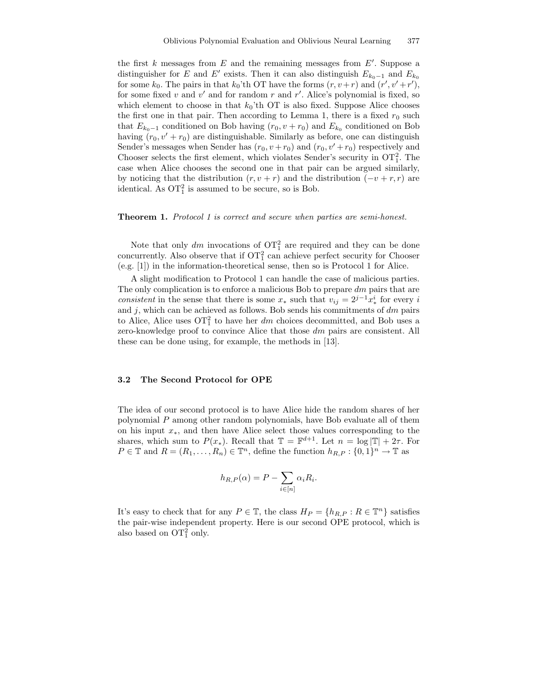the first  $k$  messages from  $E$  and the remaining messages from  $E'$ . Suppose a distinguisher for E and E' exists. Then it can also distinguish  $E_{k_0-1}$  and  $E_{k_0}$ for some  $k_0$ . The pairs in that  $k_0$ 'th OT have the forms  $(r, v + r)$  and  $(r', v' + r')$ , for some fixed  $v$  and  $v'$  and for random  $r$  and  $r'$ . Alice's polynomial is fixed, so which element to choose in that  $k_0$ 'th OT is also fixed. Suppose Alice chooses the first one in that pair. Then according to Lemma 1, there is a fixed  $r_0$  such that  $E_{k_0-1}$  conditioned on Bob having  $(r_0, v + r_0)$  and  $E_{k_0}$  conditioned on Bob having  $(r_0, v' + r_0)$  are distinguishable. Similarly as before, one can distinguish Sender's messages when Sender has  $(r_0, v + r_0)$  and  $(r_0, v' + r_0)$  respectively and Chooser selects the first element, which violates Sender's security in  $\mathrm{OT}_1^2$ . The case when Alice chooses the second one in that pair can be argued similarly, by noticing that the distribution  $(r, v + r)$  and the distribution  $(-v + r, r)$  are identical. As  $OT_1^2$  is assumed to be secure, so is Bob.

#### Theorem 1. Protocol 1 is correct and secure when parties are semi-honest.

Note that only  $dm$  invocations of  $\mathrm{OT}_1^2$  are required and they can be done concurrently. Also observe that if  $\text{OT}_1^2$  can achieve perfect security for Chooser (e.g. [1]) in the information-theoretical sense, then so is Protocol 1 for Alice.

A slight modification to Protocol 1 can handle the case of malicious parties. The only complication is to enforce a malicious Bob to prepare  $dm$  pairs that are consistent in the sense that there is some  $x_*$  such that  $v_{ij} = 2^{j-1}x_*^i$  for every i and  $j$ , which can be achieved as follows. Bob sends his commitments of  $dm$  pairs to Alice, Alice uses  $\text{OT}_1^2$  to have her dm choices decommitted, and Bob uses a zero-knowledge proof to convince Alice that those  $dm$  pairs are consistent. All these can be done using, for example, the methods in [13].

#### 3.2 The Second Protocol for OPE

The idea of our second protocol is to have Alice hide the random shares of her polynomial P among other random polynomials, have Bob evaluate all of them on his input x∗, and then have Alice select those values corresponding to the shares, which sum to  $P(x_*)$ . Recall that  $\mathbb{T} = \mathbb{F}^{d+1}$ . Let  $n = \log |\mathbb{T}| + 2\tau$ . For  $P \in \mathbb{T}$  and  $R = (R_1, \ldots, R_n) \in \mathbb{T}^n$ , define the function  $h_{R,P}: \{0,1\}^n \to \mathbb{T}$  as

$$
h_{R,P}(\alpha) = P - \sum_{i \in [n]} \alpha_i R_i.
$$

It's easy to check that for any  $P \in \mathbb{T}$ , the class  $H_P = \{h_{R,P} : R \in \mathbb{T}^n\}$  satisfies the pair-wise independent property. Here is our second OPE protocol, which is also based on  $\mathrm{OT}_1^2$  only.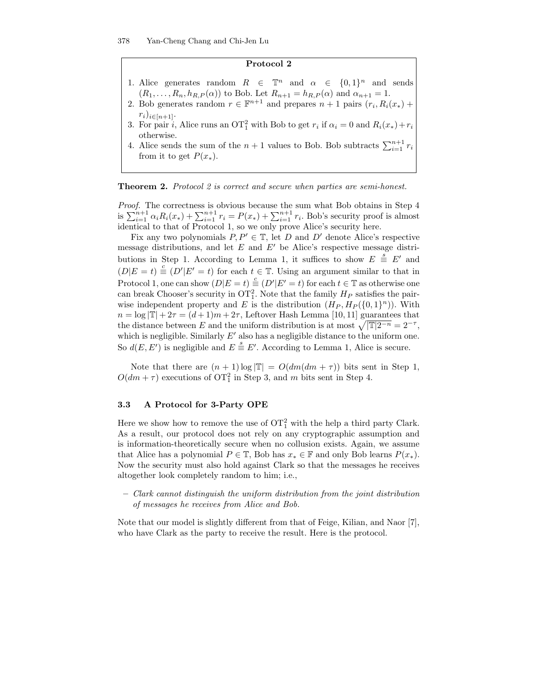# Protocol 2

- 1. Alice generates random  $R \in \mathbb{T}^n$  and  $\alpha \in \{0,1\}^n$  and sends  $(R_1, \ldots, R_n, h_{R,P}(\alpha))$  to Bob. Let  $R_{n+1} = h_{R,P}(\alpha)$  and  $\alpha_{n+1} = 1$ .
- 2. Bob generates random  $r \in \mathbb{F}^{n+1}$  and prepares  $n+1$  pairs  $(r_i, R_i(x_*) +$  $r_i)_{i\in[n+1]}$ .
- 3. For pair i, Alice runs an  $\text{OT}_1^2$  with Bob to get  $r_i$  if  $\alpha_i = 0$  and  $R_i(x_*) + r_i$ otherwise.
- 4. Alice sends the sum of the  $n+1$  values to Bob. Bob subtracts  $\sum_{i=1}^{n+1} r_i$ from it to get  $P(x_*)$ .

Theorem 2. Protocol 2 is correct and secure when parties are semi-honest.

Proof. The correctness is obvious because the sum what Bob obtains in Step 4 is  $\sum_{i=1}^{n+1} \alpha_i R_i(x_*) + \sum_{i=1}^{n+1} r_i = P(x_*) + \sum_{i=1}^{n+1} r_i$ . Bob's security proof is almost identical to that of Protocol 1, so we only prove Alice's security here.

Fix any two polynomials  $P, P' \in \mathbb{T}$ , let D and D' denote Alice's respective message distributions, and let  $E$  and  $E'$  be Alice's respective message distributions in Step 1. According to Lemma 1, it suffices to show  $E \stackrel{s}{\equiv} E'$  and  $(D|E = t) \stackrel{c}{=} (D'|E' = t)$  for each  $t \in \mathbb{T}$ . Using an argument similar to that in Protocol 1, one can show  $(D|E = t) \triangleq (D'|E' = t)$  for each  $t \in \mathbb{T}$  as otherwise one can break Chooser's security in  $\text{OT}_1^2$ . Note that the family  $H_P$  satisfies the pairwise independent property and E is the distribution  $(H_P, H_P(\{0, 1\}^n))$ . With  $n = \log |\mathbb{T}| + 2\tau = (d+1)m + 2\tau$ , Leftover Hash Lemma [10, 11] guarantees that the distance between E and the uniform distribution is at most  $\sqrt{\mathbb{T}2^{-n}} = 2^{-\tau}$ , which is negligible. Similarly  $E'$  also has a negligible distance to the uniform one. So  $d(E, E')$  is negligible and  $E \stackrel{s}{\equiv} E'$ . According to Lemma 1, Alice is secure.

Note that there are  $(n + 1) \log |\mathbb{T}| = O(dm(dm + \tau))$  bits sent in Step 1,  $O(dm + \tau)$  executions of  $\text{OT}_1^2$  in Step 3, and m bits sent in Step 4.

#### 3.3 A Protocol for 3-Party OPE

Here we show how to remove the use of  $\text{OT}_1^2$  with the help a third party Clark. As a result, our protocol does not rely on any cryptographic assumption and is information-theoretically secure when no collusion exists. Again, we assume that Alice has a polynomial  $P \in \mathbb{T}$ , Bob has  $x_* \in \mathbb{F}$  and only Bob learns  $P(x_*)$ . Now the security must also hold against Clark so that the messages he receives altogether look completely random to him; i.e.,

– Clark cannot distinguish the uniform distribution from the joint distribution of messages he receives from Alice and Bob.

Note that our model is slightly different from that of Feige, Kilian, and Naor [7], who have Clark as the party to receive the result. Here is the protocol.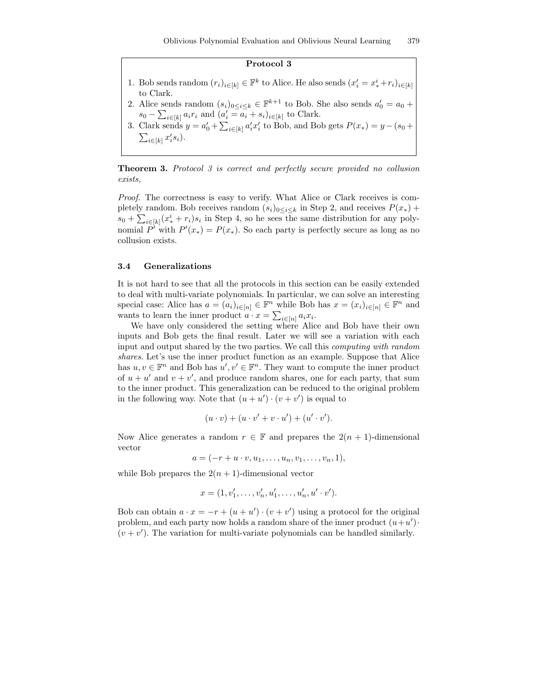# Protocol 3

- 1. Bob sends random  $(r_i)_{i \in [k]} \in \mathbb{F}^k$  to Alice. He also sends  $(x'_i = x^i_* + r_i)_{i \in [k]}$ to Clark.
- 2. Alice sends random  $(s_i)_{0 \leq i \leq k} \in \mathbb{R}^{k+1}$  to Bob. She also sends  $a'_0 = a_0 +$  $s_0 - \sum_{i \in [k]} a_i r_i$  and  $(a'_i = a_i + s_i)_{i \in [k]}$  to Clark.
- 3. Clark sends  $y = a'_0 + \sum_{i \in [k]} a'_i x'_i$  to Bob, and Bob gets  $P(x_*) = y (s_0 +$  $\sum_{i\in[k]} x_i's_i$ .

Theorem 3. Protocol 3 is correct and perfectly secure provided no collusion exists,

Proof. The correctness is easy to verify. What Alice or Clark receives is completely random. Bob receives random  $(s_i)_{0\leq i\leq k}$  in Step 2, and receives  $P(x_*)$  +  $s_0 + \sum_{i \in [k]} (x_*^i + r_i)s_i$  in Step 4, so he sees the same distribution for any polynomial  $P'$  with  $P'(x_*) = P(x_*)$ . So each party is perfectly secure as long as no collusion exists.

#### 3.4 Generalizations

It is not hard to see that all the protocols in this section can be easily extended to deal with multi-variate polynomials. In particular, we can solve an interesting special case: Alice has  $a = (a_i)_{i \in [n]} \in \mathbb{F}^n$  while Bob has  $x = (x_i)_{i \in [n]} \in \mathbb{F}^n$  and wants to learn the inner product  $a \cdot x = \sum_{i \in [n]} a_i x_i$ .

We have only considered the setting where Alice and Bob have their own inputs and Bob gets the final result. Later we will see a variation with each input and output shared by the two parties. We call this computing with random shares. Let's use the inner product function as an example. Suppose that Alice has  $u, v \in \mathbb{F}^n$  and Bob has  $u', v' \in \mathbb{F}^n$ . They want to compute the inner product of  $u + u'$  and  $v + v'$ , and produce random shares, one for each party, that sum to the inner product. This generalization can be reduced to the original problem in the following way. Note that  $(u + u') \cdot (v + v')$  is equal to

$$
(u \cdot v) + (u \cdot v' + v \cdot u') + (u' \cdot v').
$$

Now Alice generates a random  $r \in \mathbb{F}$  and prepares the  $2(n + 1)$ -dimensional vector

$$
a=(-r+u\cdot v,u_1,\ldots,u_n,v_1,\ldots,v_n,1),
$$

while Bob prepares the  $2(n + 1)$ -dimensional vector

$$
x = (1, v'_1, \dots, v'_n, u'_1, \dots, u'_n, u' \cdot v').
$$

Bob can obtain  $a \cdot x = -r + (u + u') \cdot (v + v')$  using a protocol for the original problem, and each party now holds a random share of the inner product  $(u+u')$ .  $(v + v')$ . The variation for multi-variate polynomials can be handled similarly.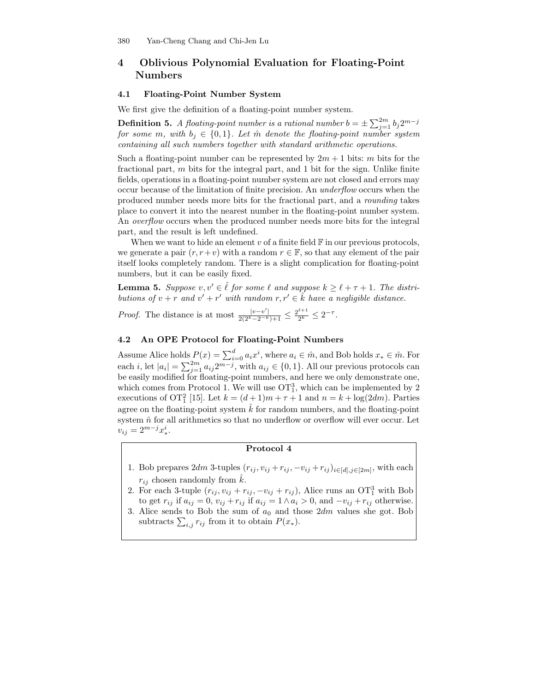# 4 Oblivious Polynomial Evaluation for Floating-Point Numbers

#### 4.1 Floating-Point Number System

We first give the definition of a floating-point number system.

**Definition 5.** A floating-point number is a rational number  $b = \pm \sum_{j=1}^{2m} b_j 2^{m-j}$ for some m, with  $b_j \in \{0,1\}$ . Let  $\hat{m}$  denote the floating-point number system containing all such numbers together with standard arithmetic operations.

Such a floating-point number can be represented by  $2m + 1$  bits: m bits for the fractional part, m bits for the integral part, and 1 bit for the sign. Unlike finite fields, operations in a floating-point number system are not closed and errors may occur because of the limitation of finite precision. An underflow occurs when the produced number needs more bits for the fractional part, and a rounding takes place to convert it into the nearest number in the floating-point number system. An overflow occurs when the produced number needs more bits for the integral part, and the result is left undefined.

When we want to hide an element  $v$  of a finite field  $\mathbb F$  in our previous protocols, we generate a pair  $(r, r+v)$  with a random  $r \in \mathbb{F}$ , so that any element of the pair itself looks completely random. There is a slight complication for floating-point numbers, but it can be easily fixed.

**Lemma 5.** Suppose  $v, v' \in \hat{\ell}$  for some  $\ell$  and suppose  $k \geq \ell + \tau + 1$ . The distributions of  $v + r$  and  $v' + r'$  with random  $r, r' \in \hat{k}$  have a negligible distance.

*Proof.* The distance is at most  $\frac{|v-v'|}{2(2^k-2^{-k})+1} \leq \frac{2^{\ell+1}}{2^k}$  $\frac{\ell+1}{2^k} \leq 2^{-\tau}.$ 

### 4.2 An OPE Protocol for Floating-Point Numbers

Assume Alice holds  $P(x) = \sum_{i=0}^{d} a_i x^i$ , where  $a_i \in \hat{m}$ , and Bob holds  $x_* \in \hat{m}$ . For each *i*, let  $|a_i| = \sum_{j=1}^{2m} a_{ij} 2^{m-j}$ , with  $a_{ij} \in \{0, 1\}$ . All our previous protocols can be easily modified for floating-point numbers, and here we only demonstrate one, which comes from Protocol 1. We will use  $\mathrm{OT}_1^3$ , which can be implemented by 2 executions of OT<sub>1</sub><sup>2</sup> [15]. Let  $k = (d+1)m + \tau + 1$  and  $n = k + \log(2dm)$ . Parties agree on the floating-point system  $\hat{k}$  for random numbers, and the floating-point system  $\hat{n}$  for all arithmetics so that no underflow or overflow will ever occur. Let  $v_{ij} = 2^{m-j} x_*^i$ .

## Protocol 4

- 1. Bob prepares  $2dm$  3-tuples  $(r_{ij}, v_{ij} + r_{ij}, -v_{ij} + r_{ij})_{i \in [d], j \in [2m]}$ , with each  $r_{ij}$  chosen randomly from  $\hat{k}$ .
- 2. For each 3-tuple  $(r_{ij}, v_{ij} + r_{ij}, -v_{ij} + r_{ij})$ , Alice runs an OT<sub>1</sub><sup>3</sup> with Bob to get  $r_{ij}$  if  $a_{ij} = 0$ ,  $v_{ij} + r_{ij}$  if  $a_{ij} = 1 \wedge a_i > 0$ , and  $-v_{ij} + r_{ij}$  otherwise.
- 3. Alice sends to Bob the sum of  $a_0$  and those  $2dm$  values she got. Bob subtracts  $\sum_{i,j} r_{ij}$  from it to obtain  $P(x_*)$ .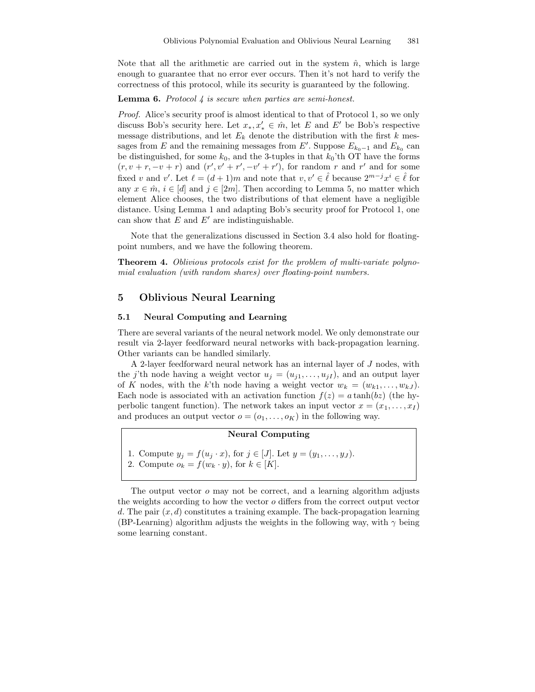Note that all the arithmetic are carried out in the system  $\hat{n}$ , which is large enough to guarantee that no error ever occurs. Then it's not hard to verify the correctness of this protocol, while its security is guaranteed by the following.

**Lemma 6.** Protocol  $\lambda$  is secure when parties are semi-honest.

Proof. Alice's security proof is almost identical to that of Protocol 1, so we only discuss Bob's security here. Let  $x_*, x'_* \in \hat{m}$ , let E and E' be Bob's respective message distributions, and let  $E_k$  denote the distribution with the first k messages from E and the remaining messages from E'. Suppose  $E_{k_0-1}$  and  $E_{k_0}$  can be distinguished, for some  $k_0$ , and the 3-tuples in that  $k_0$ 'th OT have the forms  $(r, v + r, -v + r)$  and  $(r', v' + r', -v' + r')$ , for random r and r' and for some fixed v and v'. Let  $\ell = (d+1)m$  and note that  $v, v' \in \hat{\ell}$  because  $2^{m-j}x^i \in \hat{\ell}$  for any  $x \in \hat{m}$ ,  $i \in [d]$  and  $j \in [2m]$ . Then according to Lemma 5, no matter which element Alice chooses, the two distributions of that element have a negligible distance. Using Lemma 1 and adapting Bob's security proof for Protocol 1, one can show that  $E$  and  $E'$  are indistinguishable.

Note that the generalizations discussed in Section 3.4 also hold for floatingpoint numbers, and we have the following theorem.

Theorem 4. Oblivious protocols exist for the problem of multi-variate polynomial evaluation (with random shares) over floating-point numbers.

# 5 Oblivious Neural Learning

#### 5.1 Neural Computing and Learning

There are several variants of the neural network model. We only demonstrate our result via 2-layer feedforward neural networks with back-propagation learning. Other variants can be handled similarly.

A 2-layer feedforward neural network has an internal layer of J nodes, with the j'th node having a weight vector  $u_j = (u_{j1}, \ldots, u_{jI})$ , and an output layer of K nodes, with the k'th node having a weight vector  $w_k = (w_{k1}, \ldots, w_{kJ})$ . Each node is associated with an activation function  $f(z) = a \tanh(bz)$  (the hyperbolic tangent function). The network takes an input vector  $x = (x_1, \ldots, x_I)$ and produces an output vector  $o = (o_1, \ldots, o_K)$  in the following way.

# Neural Computing

1. Compute  $y_j = f(u_j \cdot x)$ , for  $j \in [J]$ . Let  $y = (y_1, \ldots, y_J)$ .

2. Compute  $o_k = f(w_k \cdot y)$ , for  $k \in [K]$ .

The output vector  $\sigma$  may not be correct, and a learning algorithm adjusts the weights according to how the vector o differs from the correct output vector d. The pair  $(x, d)$  constitutes a training example. The back-propagation learning (BP-Learning) algorithm adjusts the weights in the following way, with  $\gamma$  being some learning constant.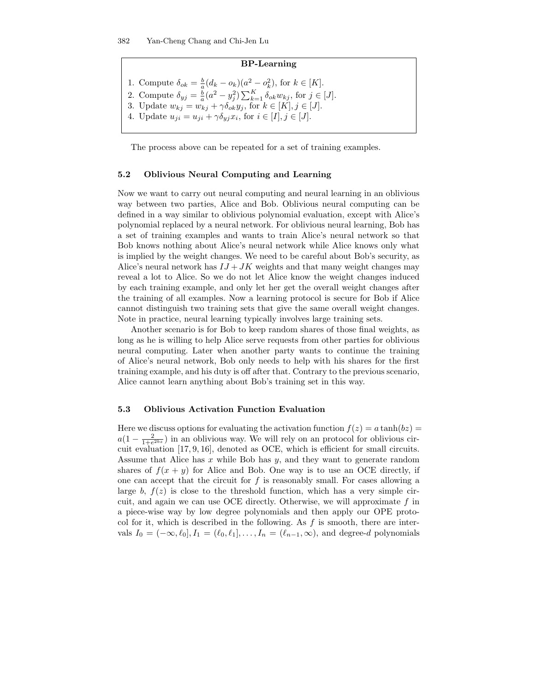# BP-Learning

- 1. Compute  $\delta_{ok} = \frac{b}{a}(d_k o_k)(a^2 o_k^2)$ , for  $k \in [K]$ .
- 2. Compute  $\delta_{yj} = \frac{b}{a}(a^2 y_j^2) \sum_{k=1}^K \delta_{ok} w_{kj}$ , for  $j \in [J]$ .
- 3. Update  $w_{kj} = w_{kj} + \gamma \delta_{ok} y_j$ , for  $k \in [K], j \in [J]$ .
- 4. Update  $u_{ji} = u_{ji} + \gamma \delta_{yj} x_i$ , for  $i \in [I], j \in [J]$ .

The process above can be repeated for a set of training examples.

#### 5.2 Oblivious Neural Computing and Learning

Now we want to carry out neural computing and neural learning in an oblivious way between two parties, Alice and Bob. Oblivious neural computing can be defined in a way similar to oblivious polynomial evaluation, except with Alice's polynomial replaced by a neural network. For oblivious neural learning, Bob has a set of training examples and wants to train Alice's neural network so that Bob knows nothing about Alice's neural network while Alice knows only what is implied by the weight changes. We need to be careful about Bob's security, as Alice's neural network has  $IJ + JK$  weights and that many weight changes may reveal a lot to Alice. So we do not let Alice know the weight changes induced by each training example, and only let her get the overall weight changes after the training of all examples. Now a learning protocol is secure for Bob if Alice cannot distinguish two training sets that give the same overall weight changes. Note in practice, neural learning typically involves large training sets.

Another scenario is for Bob to keep random shares of those final weights, as long as he is willing to help Alice serve requests from other parties for oblivious neural computing. Later when another party wants to continue the training of Alice's neural network, Bob only needs to help with his shares for the first training example, and his duty is off after that. Contrary to the previous scenario, Alice cannot learn anything about Bob's training set in this way.

### 5.3 Oblivious Activation Function Evaluation

Here we discuss options for evaluating the activation function  $f(z) = a \tanh(bz)$  $a(1-\frac{2}{1+e^{2bz}})$  in an oblivious way. We will rely on an protocol for oblivious circuit evaluation [17, 9, 16], denoted as OCE, which is efficient for small circuits. Assume that Alice has  $x$  while Bob has  $y$ , and they want to generate random shares of  $f(x + y)$  for Alice and Bob. One way is to use an OCE directly, if one can accept that the circuit for  $f$  is reasonably small. For cases allowing a large b,  $f(z)$  is close to the threshold function, which has a very simple circuit, and again we can use OCE directly. Otherwise, we will approximate  $f$  in a piece-wise way by low degree polynomials and then apply our OPE protocol for it, which is described in the following. As  $f$  is smooth, there are intervals  $I_0 = (-\infty, \ell_0], I_1 = (\ell_0, \ell_1], \ldots, I_n = (\ell_{n-1}, \infty)$ , and degree-d polynomials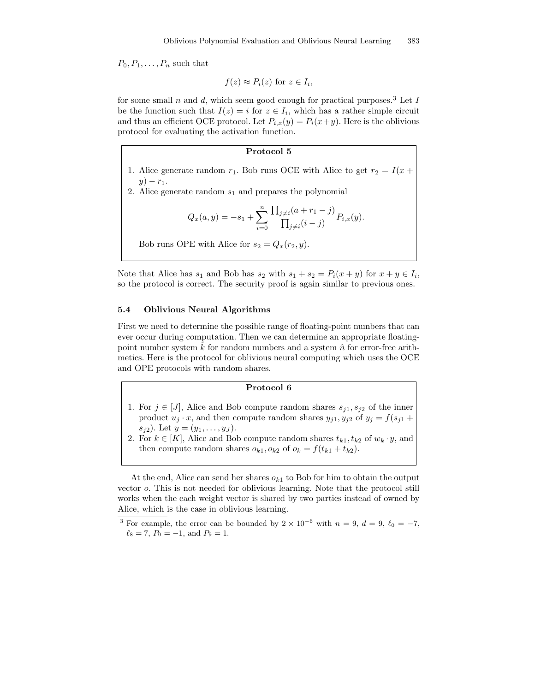$P_0, P_1, \ldots, P_n$  such that

$$
f(z) \approx P_i(z)
$$
 for  $z \in I_i$ ,

for some small n and d, which seem good enough for practical purposes.<sup>3</sup> Let I be the function such that  $I(z) = i$  for  $z \in I_i$ , which has a rather simple circuit and thus an efficient OCE protocol. Let  $P_{i,x}(y) = P_i(x+y)$ . Here is the oblivious protocol for evaluating the activation function.

### Protocol 5

- 1. Alice generate random  $r_1$ . Bob runs OCE with Alice to get  $r_2 = I(x +$  $y) - r_1.$
- 2. Alice generate random  $s_1$  and prepares the polynomial

$$
Q_x(a,y) = -s_1 + \sum_{i=0}^n \frac{\prod_{j \neq i} (a+r_1-j)}{\prod_{j \neq i} (i-j)} P_{i,x}(y).
$$

Bob runs OPE with Alice for  $s_2 = Q_x(r_2, y)$ .

Note that Alice has  $s_1$  and Bob has  $s_2$  with  $s_1 + s_2 = P_i(x + y)$  for  $x + y \in I_i$ , so the protocol is correct. The security proof is again similar to previous ones.

### 5.4 Oblivious Neural Algorithms

First we need to determine the possible range of floating-point numbers that can ever occur during computation. Then we can determine an appropriate floatingpoint number system  $k$  for random numbers and a system  $\hat{n}$  for error-free arithmetics. Here is the protocol for oblivious neural computing which uses the OCE and OPE protocols with random shares.

### Protocol 6

- 1. For  $j \in [J]$ , Alice and Bob compute random shares  $s_{i1}, s_{i2}$  of the inner product  $u_j \cdot x$ , and then compute random shares  $y_{j1}, y_{j2}$  of  $y_j = f(s_{j1} +$  $s_{i2}$ ). Let  $y = (y_1, \ldots, y_J)$ .
- 2. For  $k \in [K]$ , Alice and Bob compute random shares  $t_{k1}, t_{k2}$  of  $w_k \cdot y$ , and then compute random shares  $o_{k1}, o_{k2}$  of  $o_k = f(t_{k1} + t_{k2}).$

At the end, Alice can send her shares  $o_{k1}$  to Bob for him to obtain the output vector o. This is not needed for oblivious learning. Note that the protocol still works when the each weight vector is shared by two parties instead of owned by Alice, which is the case in oblivious learning.

<sup>&</sup>lt;sup>3</sup> For example, the error can be bounded by  $2 \times 10^{-6}$  with  $n = 9$ ,  $d = 9$ ,  $\ell_0 = -7$ ,  $\ell_8 = 7$ ,  $P_0 = -1$ , and  $P_9 = 1$ .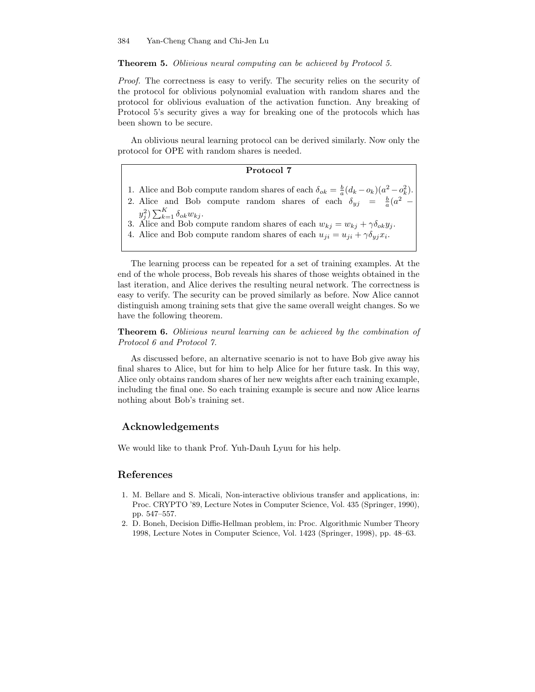384 Yan-Cheng Chang and Chi-Jen Lu

### Theorem 5. Oblivious neural computing can be achieved by Protocol 5.

Proof. The correctness is easy to verify. The security relies on the security of the protocol for oblivious polynomial evaluation with random shares and the protocol for oblivious evaluation of the activation function. Any breaking of Protocol 5's security gives a way for breaking one of the protocols which has been shown to be secure.

An oblivious neural learning protocol can be derived similarly. Now only the protocol for OPE with random shares is needed.

# Protocol 7

- 1. Alice and Bob compute random shares of each  $\delta_{ok} = \frac{b}{a} (d_k o_k) (a^2 o_k^2)$ .
- 2. Alice and Bob compute random shares of each  $\delta_{yj} = \frac{b}{a}(a^2 a^2)$  $y_j^2$ )  $\sum_{k=1}^K \delta_{ok} w_{kj}$ .
- 3. Alice and Bob compute random shares of each  $w_{kj} = w_{kj} + \gamma \delta_{ok} y_j$ .
- 4. Alice and Bob compute random shares of each  $u_{ji} = u_{ji} + \gamma \delta_{jj} x_i$ .

The learning process can be repeated for a set of training examples. At the end of the whole process, Bob reveals his shares of those weights obtained in the last iteration, and Alice derives the resulting neural network. The correctness is easy to verify. The security can be proved similarly as before. Now Alice cannot distinguish among training sets that give the same overall weight changes. So we have the following theorem.

Theorem 6. Oblivious neural learning can be achieved by the combination of Protocol 6 and Protocol 7.

As discussed before, an alternative scenario is not to have Bob give away his final shares to Alice, but for him to help Alice for her future task. In this way, Alice only obtains random shares of her new weights after each training example, including the final one. So each training example is secure and now Alice learns nothing about Bob's training set.

# Acknowledgements

We would like to thank Prof. Yuh-Dauh Lyuu for his help.

# References

- 1. M. Bellare and S. Micali, Non-interactive oblivious transfer and applications, in: Proc. CRYPTO '89, Lecture Notes in Computer Science, Vol. 435 (Springer, 1990), pp. 547–557.
- 2. D. Boneh, Decision Diffie-Hellman problem, in: Proc. Algorithmic Number Theory 1998, Lecture Notes in Computer Science, Vol. 1423 (Springer, 1998), pp. 48–63.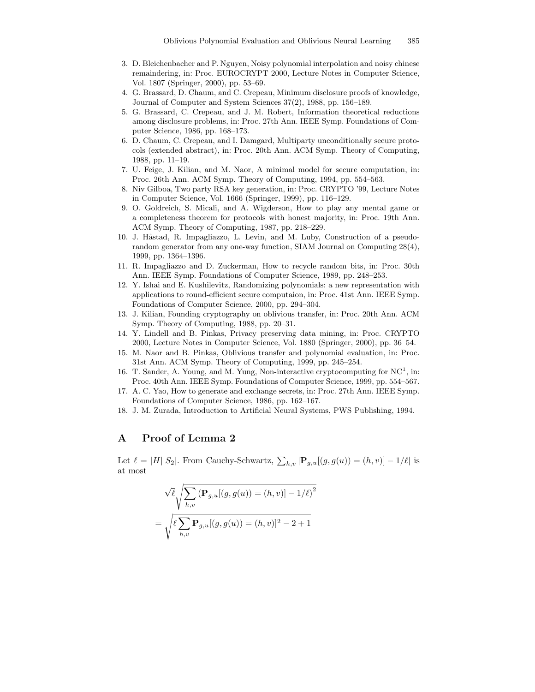- 3. D. Bleichenbacher and P. Nguyen, Noisy polynomial interpolation and noisy chinese remaindering, in: Proc. EUROCRYPT 2000, Lecture Notes in Computer Science, Vol. 1807 (Springer, 2000), pp. 53–69.
- 4. G. Brassard, D. Chaum, and C. Crepeau, Minimum disclosure proofs of knowledge, Journal of Computer and System Sciences 37(2), 1988, pp. 156–189.
- 5. G. Brassard, C. Crepeau, and J. M. Robert, Information theoretical reductions among disclosure problems, in: Proc. 27th Ann. IEEE Symp. Foundations of Computer Science, 1986, pp. 168–173.
- 6. D. Chaum, C. Crepeau, and I. Damgard, Multiparty unconditionally secure protocols (extended abstract), in: Proc. 20th Ann. ACM Symp. Theory of Computing, 1988, pp. 11–19.
- 7. U. Feige, J. Kilian, and M. Naor, A minimal model for secure computation, in: Proc. 26th Ann. ACM Symp. Theory of Computing, 1994, pp. 554–563.
- 8. Niv Gilboa, Two party RSA key generation, in: Proc. CRYPTO '99, Lecture Notes in Computer Science, Vol. 1666 (Springer, 1999), pp. 116–129.
- 9. O. Goldreich, S. Micali, and A. Wigderson, How to play any mental game or a completeness theorem for protocols with honest majority, in: Proc. 19th Ann. ACM Symp. Theory of Computing, 1987, pp. 218–229.
- 10. J. Håstad, R. Impagliazzo, L. Levin, and M. Luby, Construction of a pseudorandom generator from any one-way function, SIAM Journal on Computing 28(4), 1999, pp. 1364–1396.
- 11. R. Impagliazzo and D. Zuckerman, How to recycle random bits, in: Proc. 30th Ann. IEEE Symp. Foundations of Computer Science, 1989, pp. 248–253.
- 12. Y. Ishai and E. Kushilevitz, Randomizing polynomials: a new representation with applications to round-efficient secure computaion, in: Proc. 41st Ann. IEEE Symp. Foundations of Computer Science, 2000, pp. 294–304.
- 13. J. Kilian, Founding cryptography on oblivious transfer, in: Proc. 20th Ann. ACM Symp. Theory of Computing, 1988, pp. 20–31.
- 14. Y. Lindell and B. Pinkas, Privacy preserving data mining, in: Proc. CRYPTO 2000, Lecture Notes in Computer Science, Vol. 1880 (Springer, 2000), pp. 36–54.
- 15. M. Naor and B. Pinkas, Oblivious transfer and polynomial evaluation, in: Proc. 31st Ann. ACM Symp. Theory of Computing, 1999, pp. 245–254.
- 16. T. Sander, A. Young, and M. Yung, Non-interactive cryptocomputing for  $NC<sup>1</sup>$ , in: Proc. 40th Ann. IEEE Symp. Foundations of Computer Science, 1999, pp. 554–567.
- 17. A. C. Yao, How to generate and exchange secrets, in: Proc. 27th Ann. IEEE Symp. Foundations of Computer Science, 1986, pp. 162–167.
- 18. J. M. Zurada, Introduction to Artificial Neural Systems, PWS Publishing, 1994.

# A Proof of Lemma 2

Let  $\ell = |H||S_2|$ . From Cauchy-Schwartz,  $\sum_{h,v} |\mathbf{P}_{g,u}[(g,g(u)) = (h,v)] - 1/\ell|$  is at most

$$
\sqrt{\ell} \sqrt{\sum_{h,v} (\mathbf{P}_{g,u}[(g,g(u)) = (h,v)] - 1/\ell)^2}
$$

$$
= \sqrt{\ell \sum_{h,v} \mathbf{P}_{g,u}[(g,g(u)) = (h,v)]^2 - 2 + 1}
$$